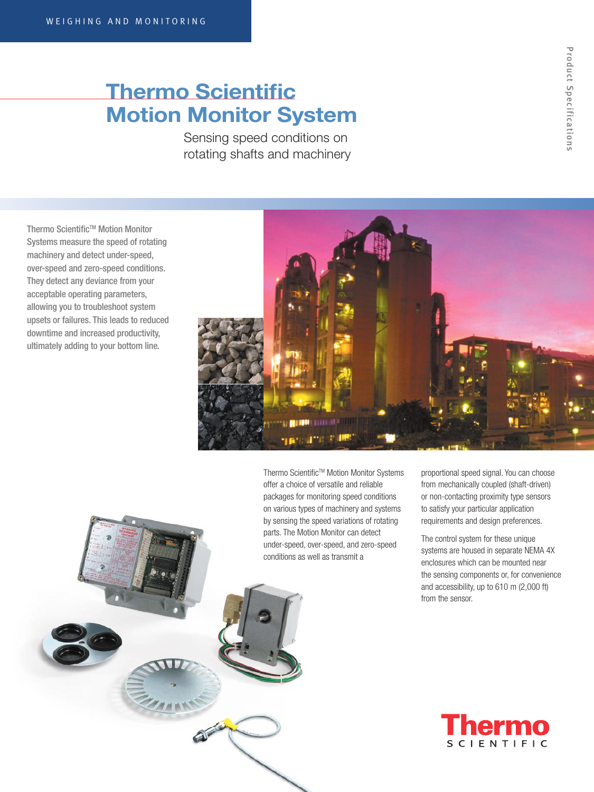# Thermo Scientific Motion Monitor System

Sensing speed conditions on rotating shafts and machinery

Thermo Scientific™ Motion Monitor Systems measure the speed of rotating machinery and detect under-speed, over-speed and zero-speed conditions. They detect any deviance from your acceptable operating parameters, allowing you to troubleshoot system upsets or failures. This leads to reduced downtime and increased productivity, ultimately adding to your bottom line.



Thermo Scientific™ Motion Monitor Systems offer a choice of versatile and reliable packages for monitoring speed conditions on various types of machinery and systems by sensing the speed variations of rotating parts. The Motion Monitor can detect under-speed, over-speed, and zero-speed conditions as well as transmit a

proportional speed signal. You can choose from mechanically coupled (shaft-driven) or non-contacting proximity type sensors to satisfy your particular application requirements and design preferences.

The control system for these unique systems are housed in separate NEMA 4X enclosures which can be mounted near the sensing components or, for convenience and accessibility, up to 610 m (2,000 ft) from the sensor.

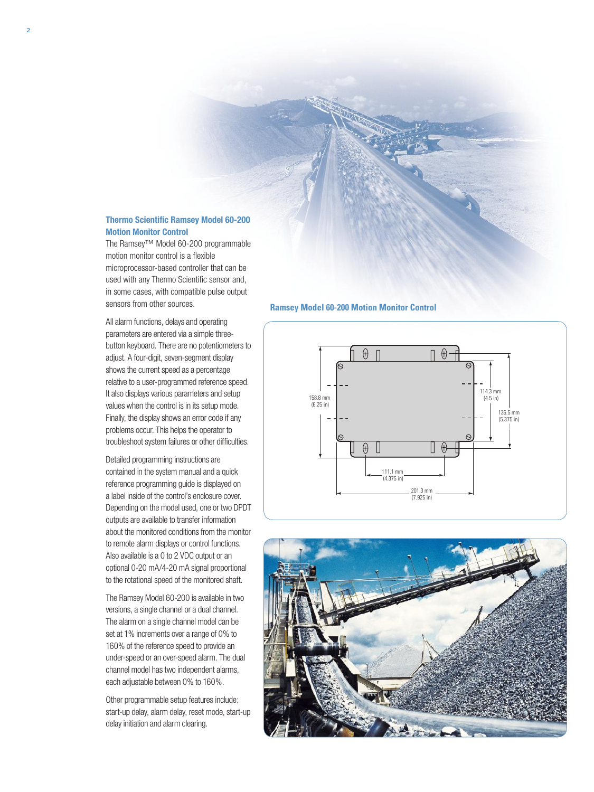### **Thermo Scientific Ramsey Model 60-200 Motion Monitor Control**

The Ramsey™ Model 60-200 programmable motion monitor control is a flexible microprocessor-based controller that can be used with any Thermo Scientific sensor and, in some cases, with compatible pulse output sensors from other sources.

All alarm functions, delays and operating parameters are entered via a simple threebutton keyboard. There are no potentiometers to adjust. A four-digit, seven-segment display shows the current speed as a percentage relative to a user-programmed reference speed. It also displays various parameters and setup values when the control is in its setup mode. Finally, the display shows an error code if any problems occur. This helps the operator to troubleshoot system failures or other difficulties.

Detailed programming instructions are contained in the system manual and a quick reference programming guide is displayed on a label inside of the control's enclosure cover. Depending on the model used, one or two DPDT outputs are available to transfer information about the monitored conditions from the monitor to remote alarm displays or control functions. Also available is a 0 to 2 VDC output or an optional 0-20 mA/4-20 mA signal proportional to the rotational speed of the monitored shaft.

The Ramsey Model 60-200 is available in two versions, a single channel or a dual channel. The alarm on a single channel model can be set at 1% increments over a range of 0% to 160% of the reference speed to provide an under-speed or an over-speed alarm. The dual channel model has two independent alarms, each adjustable between 0% to 160%.

Other programmable setup features include: start-up delay, alarm delay, reset mode, start-up delay initiation and alarm clearing.

#### **Ramsey Model 60-200 Motion Monitor Control**



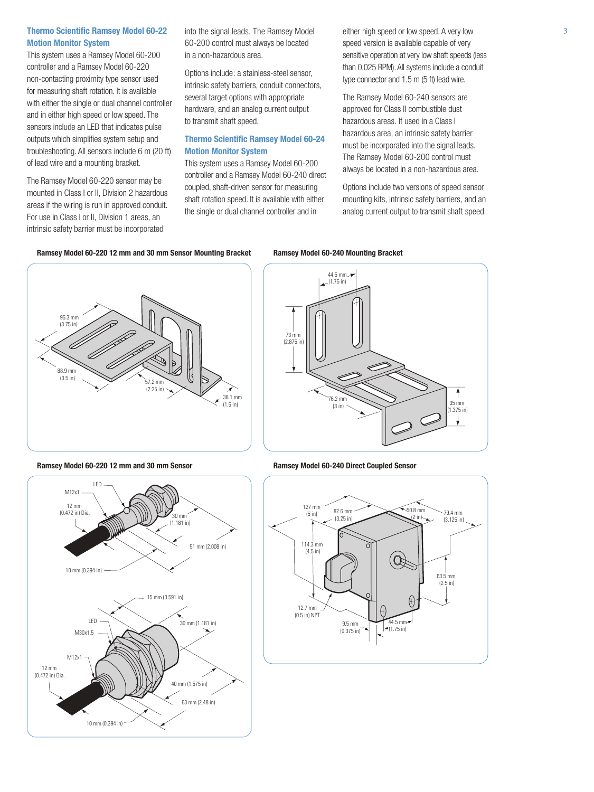#### **Thermo Scientific Ramsey Model 60-22 Motion Monitor System**

This system uses a Ramsey Model 60-200 controller and a Ramsey Model 60-220 non-contacting proximity type sensor used for measuring shaft rotation. It is available with either the single or dual channel controller and in either high speed or low speed. The sensors include an LED that indicates pulse outputs which simplifies system setup and troubleshooting. All sensors include 6 m (20 ft) of lead wire and a mounting bracket.

The Ramsey Model 60-220 sensor may be mounted in Class I or II, Division 2 hazardous areas if the wiring is run in approved conduit. For use in Class I or II, Division 1 areas, an intrinsic safety barrier must be incorporated

into the signal leads. The Ramsey Model 60-200 control must always be located in a non-hazardous area.

Options include: a stainless-steel sensor, intrinsic safety barriers, conduit connectors, several target options with appropriate hardware, and an analog current output to transmit shaft speed.

### **Thermo Scientific Ramsey Model 60-24 Motion Monitor System**

This system uses a Ramsey Model 60-200 controller and a Ramsey Model 60-240 direct coupled, shaft-driven sensor for measuring shaft rotation speed. It is available with either the single or dual channel controller and in

either high speed or low speed. A very low speed version is available capable of very sensitive operation at very low shaft speeds (less than 0.025 RPM). All systems include a conduit type connector and 1.5 m (5 ft) lead wire.

The Ramsey Model 60-240 sensors are approved for Class II combustible dust hazardous areas. If used in a Class I hazardous area, an intrinsic safety barrier must be incorporated into the signal leads. The Ramsey Model 60-200 control must always be located in a non-hazardous area.

Options include two versions of speed sensor mounting kits, intrinsic safety barriers, and an analog current output to transmit shaft speed.

#### **Ramsey Model 60-220 12 mm and 30 mm Sensor Mounting Bracket**





**Ramsey Model 60-220 12 mm and 30 mm Sensor**



**Ramsey Model 60-240 Direct Coupled Sensor**